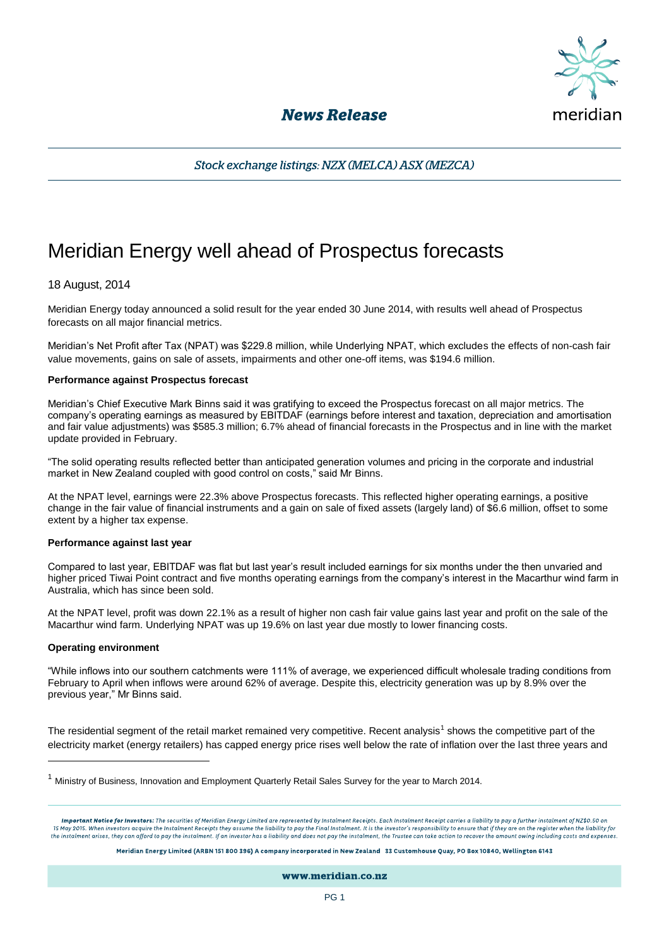

## **News Release**

Stock exchange listings: NZX (MELCA) ASX (MEZCA)

# Meridian Energy well ahead of Prospectus forecasts

### 18 August, 2014

Meridian Energy today announced a solid result for the year ended 30 June 2014, with results well ahead of Prospectus forecasts on all major financial metrics.

Meridian's Net Profit after Tax (NPAT) was \$229.8 million, while Underlying NPAT, which excludes the effects of non-cash fair value movements, gains on sale of assets, impairments and other one-off items, was \$194.6 million.

#### **Performance against Prospectus forecast**

Meridian's Chief Executive Mark Binns said it was gratifying to exceed the Prospectus forecast on all major metrics. The company's operating earnings as measured by EBITDAF (earnings before interest and taxation, depreciation and amortisation and fair value adjustments) was \$585.3 million; 6.7% ahead of financial forecasts in the Prospectus and in line with the market update provided in February.

"The solid operating results reflected better than anticipated generation volumes and pricing in the corporate and industrial market in New Zealand coupled with good control on costs," said Mr Binns.

At the NPAT level, earnings were 22.3% above Prospectus forecasts. This reflected higher operating earnings, a positive change in the fair value of financial instruments and a gain on sale of fixed assets (largely land) of \$6.6 million, offset to some extent by a higher tax expense.

#### **Performance against last year**

Compared to last year, EBITDAF was flat but last year's result included earnings for six months under the then unvaried and higher priced Tiwai Point contract and five months operating earnings from the company's interest in the Macarthur wind farm in Australia, which has since been sold.

At the NPAT level, profit was down 22.1% as a result of higher non cash fair value gains last year and profit on the sale of the Macarthur wind farm. Underlying NPAT was up 19.6% on last year due mostly to lower financing costs.

#### **Operating environment**

j

"While inflows into our southern catchments were 111% of average, we experienced difficult wholesale trading conditions from February to April when inflows were around 62% of average. Despite this, electricity generation was up by 8.9% over the previous year," Mr Binns said.

The residential segment of the retail market remained very competitive. Recent analysis<sup>1</sup> shows the competitive part of the electricity market (energy retailers) has capped energy price rises well below the rate of inflation over the last three years and

Meridian Energy Limited (ARBN 151 800 396) A company incorporated in New Zealand 33 Customhouse Ouay, PO Box 10840, Wellington 6143

www.meridian.co.nz

 $1$  Ministry of Business, Innovation and Employment Quarterly Retail Sales Survey for the year to March 2014.

Important Notice for Investors: The securities of Meridian Energy Limited are represented by Instalment Receipts. Each Instalment Receipt carries a liability to pay a further instalment of NZ\$0.50 on 15 May 2015. When investors acquire the Instalment Receipts they assume the liability to pay the Final Instalment. It is the investor's responsibility to ensure that if they are on the register when the liability for the instalment arises, they can afford to pay the instalment. If an investor has a liability and does not pay the instalment, the Trustee can take action to recover the amount owing including costs and exper